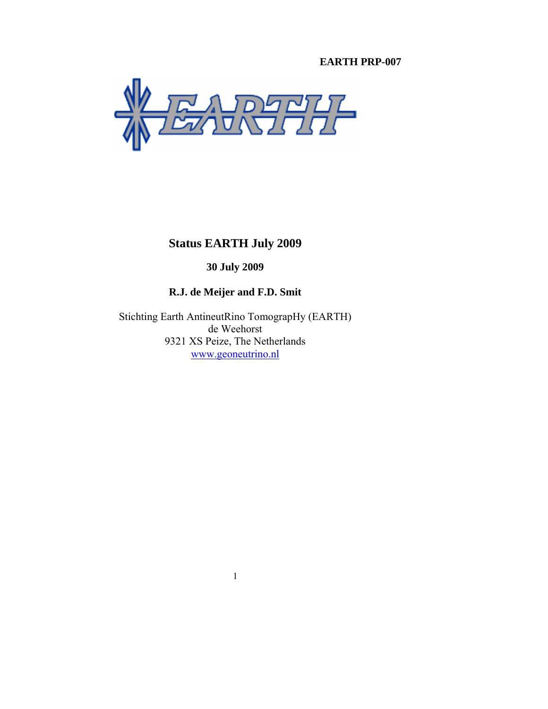# **EARTH PRP-007**



**Status EARTH July 2009** 

**30 July 2009** 

# **R.J. de Meijer and F.D. Smit**

Stichting Earth AntineutRino TomograpHy (EARTH) de Weehorst 9321 XS Peize, The Netherlands www.geoneutrino.nl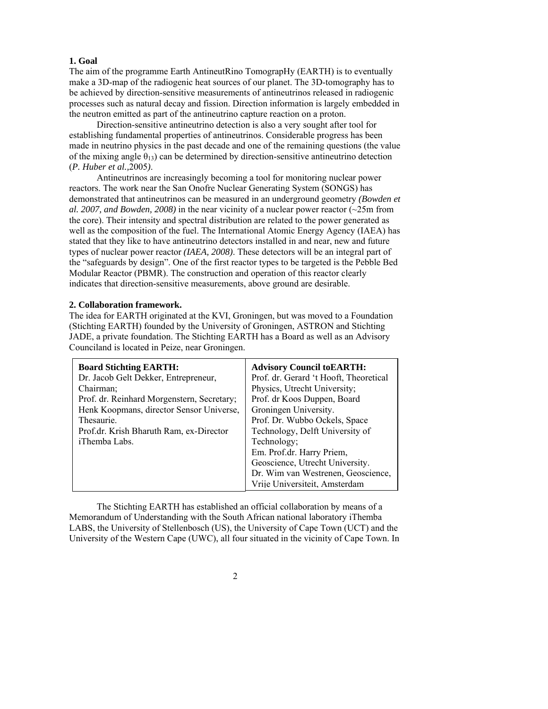#### **1. Goal**

The aim of the programme Earth AntineutRino TomograpHy (EARTH) is to eventually make a 3D-map of the radiogenic heat sources of our planet. The 3D-tomography has to be achieved by direction-sensitive measurements of antineutrinos released in radiogenic processes such as natural decay and fission. Direction information is largely embedded in the neutron emitted as part of the antineutrino capture reaction on a proton.

 Direction-sensitive antineutrino detection is also a very sought after tool for establishing fundamental properties of antineutrinos. Considerable progress has been made in neutrino physics in the past decade and one of the remaining questions (the value of the mixing angle  $\theta_{13}$ ) can be determined by direction-sensitive antineutrino detection (*P. Huber et al.,*2005*)*.

 Antineutrinos are increasingly becoming a tool for monitoring nuclear power reactors. The work near the San Onofre Nuclear Generating System (SONGS) has demonstrated that antineutrinos can be measured in an underground geometry *(Bowden et al. 2007, and Bowden, 2008)* in the near vicinity of a nuclear power reactor (~25m from the core). Their intensity and spectral distribution are related to the power generated as well as the composition of the fuel. The International Atomic Energy Agency (IAEA) has stated that they like to have antineutrino detectors installed in and near, new and future types of nuclear power reactor *(IAEA, 2008)*. These detectors will be an integral part of the "safeguards by design". One of the first reactor types to be targeted is the Pebble Bed Modular Reactor (PBMR). The construction and operation of this reactor clearly indicates that direction-sensitive measurements, above ground are desirable.

# **2. Collaboration framework.**

The idea for EARTH originated at the KVI, Groningen, but was moved to a Foundation (Stichting EARTH) founded by the University of Groningen, ASTRON and Stichting JADE, a private foundation. The Stichting EARTH has a Board as well as an Advisory Counciland is located in Peize, near Groningen.

| <b>Board Stichting EARTH:</b>              | <b>Advisory Council to EARTH:</b>      |
|--------------------------------------------|----------------------------------------|
| Dr. Jacob Gelt Dekker, Entrepreneur,       | Prof. dr. Gerard 't Hooft, Theoretical |
| Chairman;                                  | Physics, Utrecht University;           |
| Prof. dr. Reinhard Morgenstern, Secretary; | Prof. dr Koos Duppen, Board            |
| Henk Koopmans, director Sensor Universe,   | Groningen University.                  |
| Thesaurie.                                 | Prof. Dr. Wubbo Ockels, Space          |
| Prof.dr. Krish Bharuth Ram, ex-Director    | Technology, Delft University of        |
| iThemba Labs.                              | Technology;                            |
|                                            | Em. Prof.dr. Harry Priem,              |
|                                            | Geoscience, Utrecht University.        |
|                                            | Dr. Wim van Westrenen, Geoscience,     |
|                                            | Vrije Universiteit, Amsterdam          |

The Stichting EARTH has established an official collaboration by means of a Memorandum of Understanding with the South African national laboratory iThemba LABS, the University of Stellenbosch (US), the University of Cape Town (UCT) and the University of the Western Cape (UWC), all four situated in the vicinity of Cape Town. In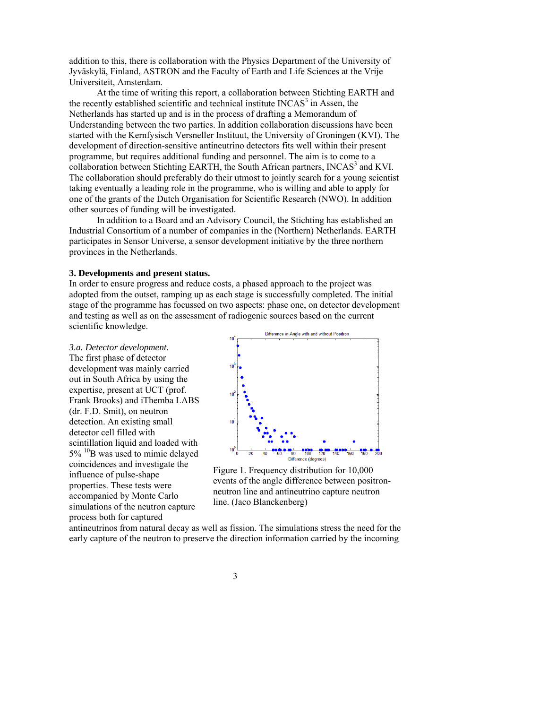addition to this, there is collaboration with the Physics Department of the University of Jyväskylä, Finland, ASTRON and the Faculty of Earth and Life Sciences at the Vrije Universiteit, Amsterdam.

At the time of writing this report, a collaboration between Stichting EARTH and the recently established scientific and technical institute INCAS<sup>3</sup> in Assen, the Netherlands has started up and is in the process of drafting a Memorandum of Understanding between the two parties. In addition collaboration discussions have been started with the Kernfysisch Versneller Instituut, the University of Groningen (KVI). The development of direction-sensitive antineutrino detectors fits well within their present programme, but requires additional funding and personnel. The aim is to come to a  $\frac{1}{2}$  collaboration between Stichting EARTH, the South African partners, INCAS<sup>3</sup> and KVI. The collaboration should preferably do their utmost to jointly search for a young scientist taking eventually a leading role in the programme, who is willing and able to apply for one of the grants of the Dutch Organisation for Scientific Research (NWO). In addition other sources of funding will be investigated.

 In addition to a Board and an Advisory Council, the Stichting has established an Industrial Consortium of a number of companies in the (Northern) Netherlands. EARTH participates in Sensor Universe, a sensor development initiative by the three northern provinces in the Netherlands.

#### **3. Developments and present status.**

In order to ensure progress and reduce costs, a phased approach to the project was adopted from the outset, ramping up as each stage is successfully completed. The initial stage of the programme has focussed on two aspects: phase one, on detector development and testing as well as on the assessment of radiogenic sources based on the current scientific knowledge.

*3.a. Detector development.*  The first phase of detector development was mainly carried out in South Africa by using the expertise, present at UCT (prof. Frank Brooks) and iThemba LABS (dr. F.D. Smit), on neutron detection. An existing small detector cell filled with scintillation liquid and loaded with  $5\%$  <sup>10</sup>B was used to mimic delayed coincidences and investigate the influence of pulse-shape properties. These tests were accompanied by Monte Carlo simulations of the neutron capture process both for captured



Figure 1. Frequency distribution for 10,000 events of the angle difference between positronneutron line and antineutrino capture neutron line. (Jaco Blanckenberg)

antineutrinos from natural decay as well as fission. The simulations stress the need for the early capture of the neutron to preserve the direction information carried by the incoming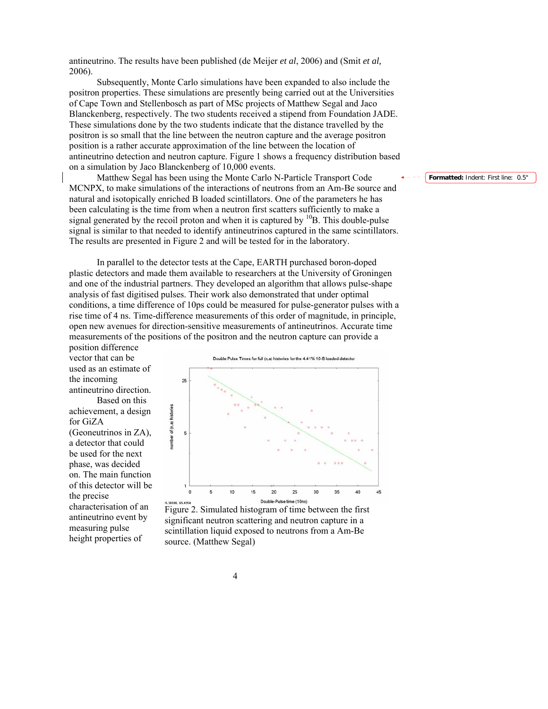antineutrino. The results have been published (de Meijer *et al*, 2006) and (Smit *et al,*  2006).

 Subsequently, Monte Carlo simulations have been expanded to also include the positron properties. These simulations are presently being carried out at the Universities of Cape Town and Stellenbosch as part of MSc projects of Matthew Segal and Jaco Blanckenberg, respectively. The two students received a stipend from Foundation JADE. These simulations done by the two students indicate that the distance travelled by the positron is so small that the line between the neutron capture and the average positron position is a rather accurate approximation of the line between the location of antineutrino detection and neutron capture. Figure 1 shows a frequency distribution based on a simulation by Jaco Blanckenberg of 10,000 events.

Matthew Segal has been using the Monte Carlo N-Particle Transport Code MCNPX, to make simulations of the interactions of neutrons from an Am-Be source and natural and isotopically enriched B loaded scintillators. One of the parameters he has been calculating is the time from when a neutron first scatters sufficiently to make a signal generated by the recoil proton and when it is captured by  $^{10}B$ . This double-pulse signal is similar to that needed to identify antineutrinos captured in the same scintillators. The results are presented in Figure 2 and will be tested for in the laboratory.

 In parallel to the detector tests at the Cape, EARTH purchased boron-doped plastic detectors and made them available to researchers at the University of Groningen and one of the industrial partners. They developed an algorithm that allows pulse-shape analysis of fast digitised pulses. Their work also demonstrated that under optimal conditions, a time difference of 10ps could be measured for pulse-generator pulses with a rise time of 4 ns. Time-difference measurements of this order of magnitude, in principle, open new avenues for direction-sensitive measurements of antineutrinos. Accurate time measurements of the positions of the positron and the neutron capture can provide a

position difference vector that can be used as an estimate of the incoming antineutrino direction.

 Based on this achievement, a design for GiZA (Geoneutrinos in ZA), a detector that could be used for the next phase, was decided on. The main function of this detector will be the precise characterisation of an antineutrino event by measuring pulse height properties of

Double Pulse Times for full (n a) histories for the 4.41% 10-B loaded detector



Figure 2. Simulated histogram of time between the first significant neutron scattering and neutron capture in a scintillation liquid exposed to neutrons from a Am-Be source. (Matthew Segal)

**Formatted:** Indent: First line: 0.5"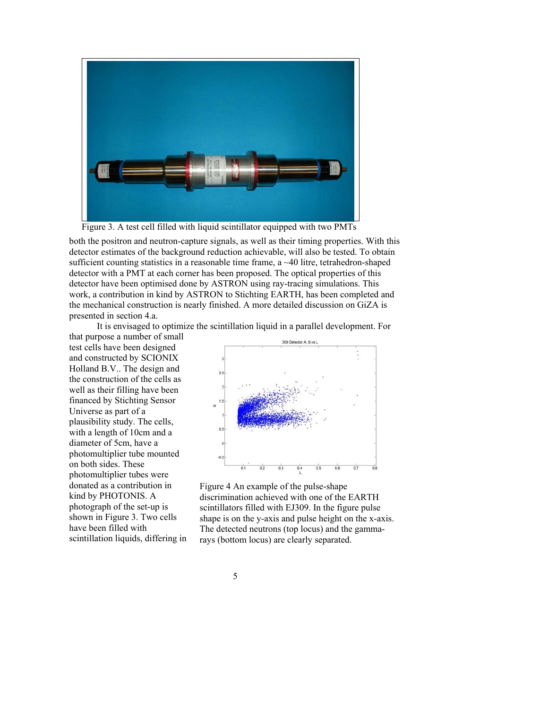

Figure 3. A test cell filled with liquid scintillator equipped with two PMTs

both the positron and neutron-capture signals, as well as their timing properties. With this detector estimates of the background reduction achievable, will also be tested. To obtain sufficient counting statistics in a reasonable time frame, a ~40 litre, tetrahedron-shaped detector with a PMT at each corner has been proposed. The optical properties of this detector have been optimised done by ASTRON using ray-tracing simulations. This work, a contribution in kind by ASTRON to Stichting EARTH, has been completed and the mechanical construction is nearly finished. A more detailed discussion on GiZA is presented in section 4.a.

It is envisaged to optimize the scintillation liquid in a parallel development. For

that purpose a number of small test cells have been designed and constructed by SCIONIX Holland B.V.. The design and the construction of the cells as well as their filling have been financed by Stichting Sensor Universe as part of a plausibility study. The cells, with a length of 10cm and a diameter of 5cm, have a photomultiplier tube mounted on both sides. These photomultiplier tubes were donated as a contribution in kind by PHOTONIS. A photograph of the set-up is shown in Figure 3. Two cells have been filled with scintillation liquids, differing in



Figure 4 An example of the pulse-shape discrimination achieved with one of the EARTH scintillators filled with EJ309. In the figure pulse shape is on the y-axis and pulse height on the x-axis. The detected neutrons (top locus) and the gammarays (bottom locus) are clearly separated.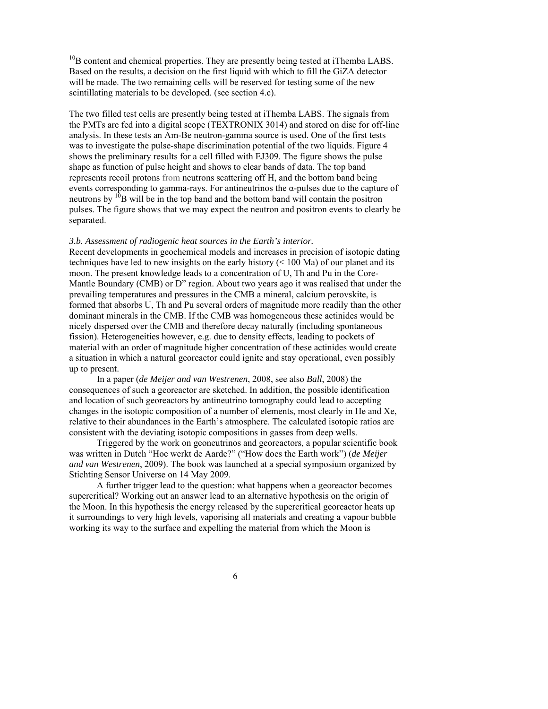$10<sub>B</sub>$  content and chemical properties. They are presently being tested at iThemba LABS. Based on the results, a decision on the first liquid with which to fill the GiZA detector will be made. The two remaining cells will be reserved for testing some of the new scintillating materials to be developed. (see section 4.c).

The two filled test cells are presently being tested at iThemba LABS. The signals from the PMTs are fed into a digital scope (TEXTRONIX 3014) and stored on disc for off-line analysis. In these tests an Am-Be neutron-gamma source is used. One of the first tests was to investigate the pulse-shape discrimination potential of the two liquids. Figure 4 shows the preliminary results for a cell filled with EJ309. The figure shows the pulse shape as function of pulse height and shows to clear bands of data. The top band represents recoil protons from neutrons scattering off H, and the bottom band being events corresponding to gamma-rays. For antineutrinos the  $\alpha$ -pulses due to the capture of neutrons by  $10B$  will be in the top band and the bottom band will contain the positron pulses. The figure shows that we may expect the neutron and positron events to clearly be separated.

# *3.b. Assessment of radiogenic heat sources in the Earth's interior.*

Recent developments in geochemical models and increases in precision of isotopic dating techniques have led to new insights on the early history (< 100 Ma) of our planet and its moon. The present knowledge leads to a concentration of U, Th and Pu in the Core-Mantle Boundary (CMB) or D" region. About two years ago it was realised that under the prevailing temperatures and pressures in the CMB a mineral, calcium perovskite, is formed that absorbs U, Th and Pu several orders of magnitude more readily than the other dominant minerals in the CMB. If the CMB was homogeneous these actinides would be nicely dispersed over the CMB and therefore decay naturally (including spontaneous fission). Heterogeneities however, e.g. due to density effects, leading to pockets of material with an order of magnitude higher concentration of these actinides would create a situation in which a natural georeactor could ignite and stay operational, even possibly up to present.

 In a paper (*de Meijer and van Westrenen*, 2008, see also *Ball*, 2008) the consequences of such a georeactor are sketched. In addition, the possible identification and location of such georeactors by antineutrino tomography could lead to accepting changes in the isotopic composition of a number of elements, most clearly in He and Xe, relative to their abundances in the Earth's atmosphere. The calculated isotopic ratios are consistent with the deviating isotopic compositions in gasses from deep wells.

 Triggered by the work on geoneutrinos and georeactors, a popular scientific book was written in Dutch "Hoe werkt de Aarde?" ("How does the Earth work") (*de Meijer and van Westrenen*, 2009). The book was launched at a special symposium organized by Stichting Sensor Universe on 14 May 2009.

 A further trigger lead to the question: what happens when a georeactor becomes supercritical? Working out an answer lead to an alternative hypothesis on the origin of the Moon. In this hypothesis the energy released by the supercritical georeactor heats up it surroundings to very high levels, vaporising all materials and creating a vapour bubble working its way to the surface and expelling the material from which the Moon is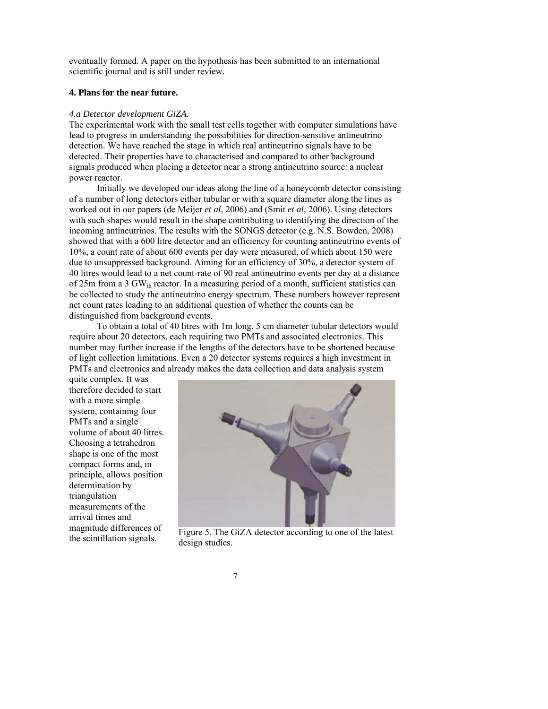eventually formed. A paper on the hypothesis has been submitted to an international scientific journal and is still under review.

# **4. Plans for the near future.**

#### *4.a Detector development GiZA.*

The experimental work with the small test cells together with computer simulations have lead to progress in understanding the possibilities for direction-sensitive antineutrino detection. We have reached the stage in which real antineutrino signals have to be detected. Their properties have to characterised and compared to other background signals produced when placing a detector near a strong antineutrino source: a nuclear power reactor.

 Initially we developed our ideas along the line of a honeycomb detector consisting of a number of long detectors either tubular or with a square diameter along the lines as worked out in our papers (de Meijer *et al*, 2006) and (Smit *et al,* 2006). Using detectors with such shapes would result in the shape contributing to identifying the direction of the incoming antineutrinos. The results with the SONGS detector (e.g. N.S. Bowden, 2008) showed that with a 600 litre detector and an efficiency for counting antineutrino events of 10%, a count rate of about 600 events per day were measured, of which about 150 were due to unsuppressed background. Aiming for an efficiency of 30%, a detector system of 40 litres would lead to a net count-rate of 90 real antineutrino events per day at a distance of 25m from a 3 GW $_{th}$  reactor. In a measuring period of a month, sufficient statistics can be collected to study the antineutrino energy spectrum. These numbers however represent net count rates leading to an additional question of whether the counts can be distinguished from background events.

 To obtain a total of 40 litres with 1m long, 5 cm diameter tubular detectors would require about 20 detectors, each requiring two PMTs and associated electronics. This number may further increase if the lengths of the detectors have to be shortened because of light collection limitations. Even a 20 detector systems requires a high investment in PMTs and electronics and already makes the data collection and data analysis system

quite complex. It was therefore decided to start with a more simple system, containing four PMTs and a single volume of about 40 litres. Choosing a tetrahedron shape is one of the most compact forms and, in principle, allows position determination by triangulation measurements of the arrival times and magnitude differences of the scintillation signals.



Figure 5. The GiZA detector according to one of the latest design studies.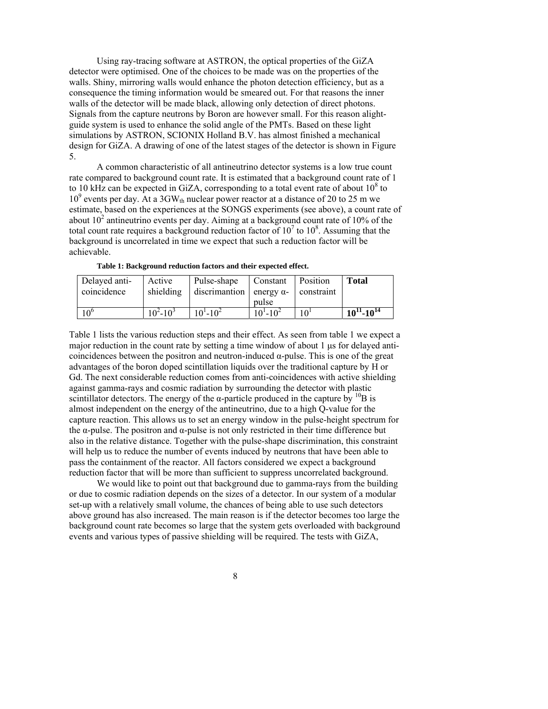Using ray-tracing software at ASTRON, the optical properties of the GiZA detector were optimised. One of the choices to be made was on the properties of the walls. Shiny, mirroring walls would enhance the photon detection efficiency, but as a consequence the timing information would be smeared out. For that reasons the inner walls of the detector will be made black, allowing only detection of direct photons. Signals from the capture neutrons by Boron are however small. For this reason alightguide system is used to enhance the solid angle of the PMTs. Based on these light simulations by ASTRON, SCIONIX Holland B.V. has almost finished a mechanical design for GiZA. A drawing of one of the latest stages of the detector is shown in Figure 5.

 A common characteristic of all antineutrino detector systems is a low true count rate compared to background count rate. It is estimated that a background count rate of 1 to 10 kHz can be expected in GiZA, corresponding to a total event rate of about  $10^8$  to 10<sup>9</sup> events per day. At a 3GW<sub>th</sub> nuclear power reactor at a distance of 20 to 25 m we estimate, based on the experiences at the SONGS experiments (see above), a count rate of about  $10^2$  antineutrino events per day. Aiming at a background count rate of 10% of the total count rate requires a background reduction factor of  $10^7$  to  $10^8$ . Assuming that the background is uncorrelated in time we expect that such a reduction factor will be achievable.

| Delayed anti- | Active            | Pulse-shape                     | Constant          | Position   | <b>Total</b>        |
|---------------|-------------------|---------------------------------|-------------------|------------|---------------------|
| coincidence   | shielding         | discrimantion energy $\alpha$ - | pulse             | constraint |                     |
|               | $10^{2} - 10^{3}$ | $10^{1} - 10^{2}$               | $10^{1} - 10^{2}$ |            | $10^{11} - 10^{14}$ |

**Table 1: Background reduction factors and their expected effect.** 

Table 1 lists the various reduction steps and their effect. As seen from table 1 we expect a major reduction in the count rate by setting a time window of about  $1 \mu s$  for delayed anticoincidences between the positron and neutron-induced  $α$ -pulse. This is one of the great advantages of the boron doped scintillation liquids over the traditional capture by H or Gd. The next considerable reduction comes from anti-coincidences with active shielding against gamma-rays and cosmic radiation by surrounding the detector with plastic scintillator detectors. The energy of the  $\alpha$ -particle produced in the capture by <sup>10</sup>B is almost independent on the energy of the antineutrino, due to a high Q-value for the capture reaction. This allows us to set an energy window in the pulse-height spectrum for the  $\alpha$ -pulse. The positron and  $\alpha$ -pulse is not only restricted in their time difference but also in the relative distance. Together with the pulse-shape discrimination, this constraint will help us to reduce the number of events induced by neutrons that have been able to pass the containment of the reactor. All factors considered we expect a background reduction factor that will be more than sufficient to suppress uncorrelated background.

 We would like to point out that background due to gamma-rays from the building or due to cosmic radiation depends on the sizes of a detector. In our system of a modular set-up with a relatively small volume, the chances of being able to use such detectors above ground has also increased. The main reason is if the detector becomes too large the background count rate becomes so large that the system gets overloaded with background events and various types of passive shielding will be required. The tests with GiZA,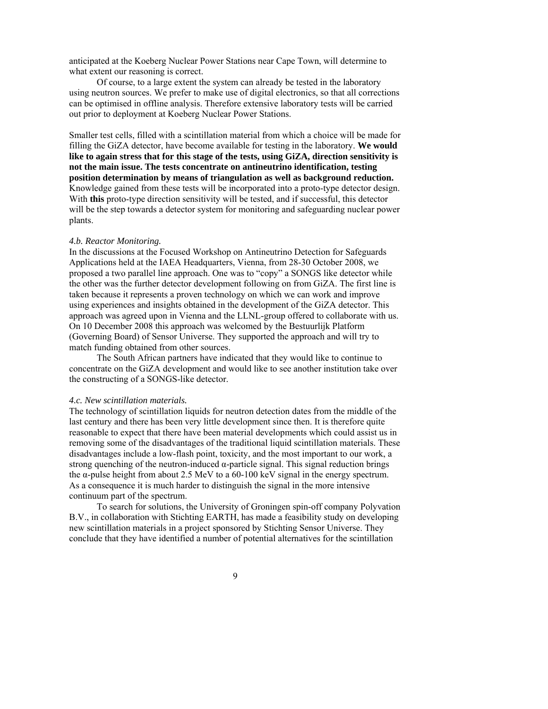anticipated at the Koeberg Nuclear Power Stations near Cape Town, will determine to what extent our reasoning is correct.

Of course, to a large extent the system can already be tested in the laboratory using neutron sources. We prefer to make use of digital electronics, so that all corrections can be optimised in offline analysis. Therefore extensive laboratory tests will be carried out prior to deployment at Koeberg Nuclear Power Stations.

Smaller test cells, filled with a scintillation material from which a choice will be made for filling the GiZA detector, have become available for testing in the laboratory. **We would like to again stress that for this stage of the tests, using GiZA, direction sensitivity is not the main issue. The tests concentrate on antineutrino identification, testing position determination by means of triangulation as well as background reduction.** Knowledge gained from these tests will be incorporated into a proto-type detector design. With **this** proto-type direction sensitivity will be tested, and if successful, this detector will be the step towards a detector system for monitoring and safeguarding nuclear power plants.

#### *4.b. Reactor Monitoring.*

In the discussions at the Focused Workshop on Antineutrino Detection for Safeguards Applications held at the IAEA Headquarters, Vienna, from 28-30 October 2008, we proposed a two parallel line approach. One was to "copy" a SONGS like detector while the other was the further detector development following on from GiZA. The first line is taken because it represents a proven technology on which we can work and improve using experiences and insights obtained in the development of the GiZA detector. This approach was agreed upon in Vienna and the LLNL-group offered to collaborate with us. On 10 December 2008 this approach was welcomed by the Bestuurlijk Platform (Governing Board) of Sensor Universe. They supported the approach and will try to match funding obtained from other sources.

 The South African partners have indicated that they would like to continue to concentrate on the GiZA development and would like to see another institution take over the constructing of a SONGS-like detector.

#### *4.c. New scintillation materials.*

The technology of scintillation liquids for neutron detection dates from the middle of the last century and there has been very little development since then. It is therefore quite reasonable to expect that there have been material developments which could assist us in removing some of the disadvantages of the traditional liquid scintillation materials. These disadvantages include a low-flash point, toxicity, and the most important to our work, a strong quenching of the neutron-induced  $\alpha$ -particle signal. This signal reduction brings the α-pulse height from about 2.5 MeV to a 60-100 keV signal in the energy spectrum. As a consequence it is much harder to distinguish the signal in the more intensive continuum part of the spectrum.

 To search for solutions, the University of Groningen spin-off company Polyvation B.V., in collaboration with Stichting EARTH, has made a feasibility study on developing new scintillation materials in a project sponsored by Stichting Sensor Universe. They conclude that they have identified a number of potential alternatives for the scintillation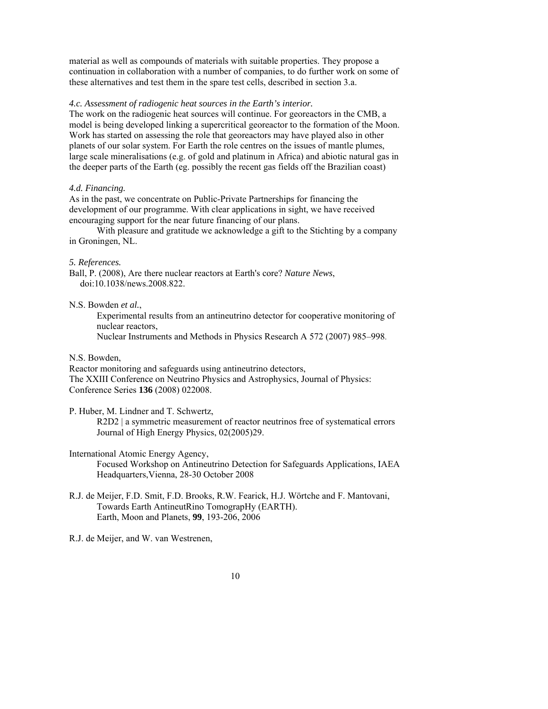material as well as compounds of materials with suitable properties. They propose a continuation in collaboration with a number of companies, to do further work on some of these alternatives and test them in the spare test cells, described in section 3.a.

# *4.c. Assessment of radiogenic heat sources in the Earth's interior.*

The work on the radiogenic heat sources will continue. For georeactors in the CMB, a model is being developed linking a supercritical georeactor to the formation of the Moon. Work has started on assessing the role that georeactors may have played also in other planets of our solar system. For Earth the role centres on the issues of mantle plumes, large scale mineralisations (e.g. of gold and platinum in Africa) and abiotic natural gas in the deeper parts of the Earth (eg. possibly the recent gas fields off the Brazilian coast)

### *4.d. Financing.*

As in the past, we concentrate on Public-Private Partnerships for financing the development of our programme. With clear applications in sight, we have received encouraging support for the near future financing of our plans.

 With pleasure and gratitude we acknowledge a gift to the Stichting by a company in Groningen, NL.

## *5. References.*

Ball, P. (2008), Are there nuclear reactors at Earth's core? *Nature News*, doi:10.1038/news.2008.822.

N.S. Bowden *et al.*,

Experimental results from an antineutrino detector for cooperative monitoring of nuclear reactors, Nuclear Instruments and Methods in Physics Research A 572 (2007) 985–998.

## N.S. Bowden,

Reactor monitoring and safeguards using antineutrino detectors, The XXIII Conference on Neutrino Physics and Astrophysics, Journal of Physics: Conference Series **136** (2008) 022008.

## P. Huber, M. Lindner and T. Schwertz,

R2D2 | a symmetric measurement of reactor neutrinos free of systematical errors Journal of High Energy Physics, 02(2005)29.

# International Atomic Energy Agency,

Focused Workshop on Antineutrino Detection for Safeguards Applications, IAEA Headquarters,Vienna, 28-30 October 2008

R.J. de Meijer, F.D. Smit, F.D. Brooks, R.W. Fearick, H.J. Wörtche and F. Mantovani, Towards Earth AntineutRino TomograpHy (EARTH). Earth, Moon and Planets, **99**, 193-206, 2006

R.J. de Meijer, and W. van Westrenen,